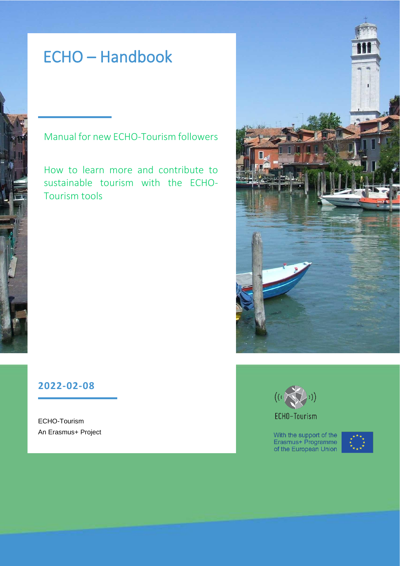# ECHO – Handbook

# Manual for new ECHO-Tourism followers

How to learn more and contribute to sustainable tourism with the ECHO-Tourism tools



# **2022-02-08**

ECHO-Tourism An Erasmus+ Project



ECHO-Tourism

With the support of the<br>Erasmus+ Programme<br>of the European Union

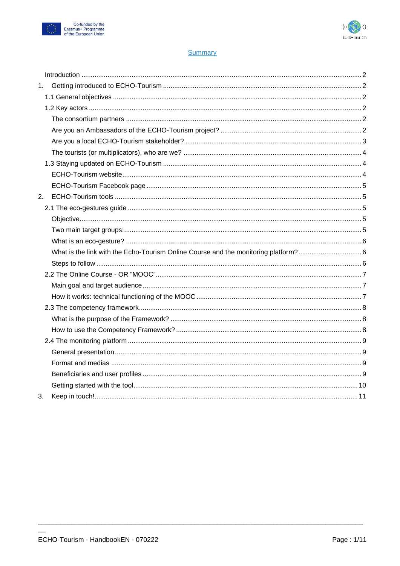



# **Summary**

| 1. |  |
|----|--|
|    |  |
|    |  |
|    |  |
|    |  |
|    |  |
|    |  |
|    |  |
|    |  |
|    |  |
| 2. |  |
|    |  |
|    |  |
|    |  |
|    |  |
|    |  |
|    |  |
|    |  |
|    |  |
|    |  |
|    |  |
|    |  |
|    |  |
|    |  |
|    |  |
|    |  |
|    |  |
|    |  |
| 3. |  |

 $\sim$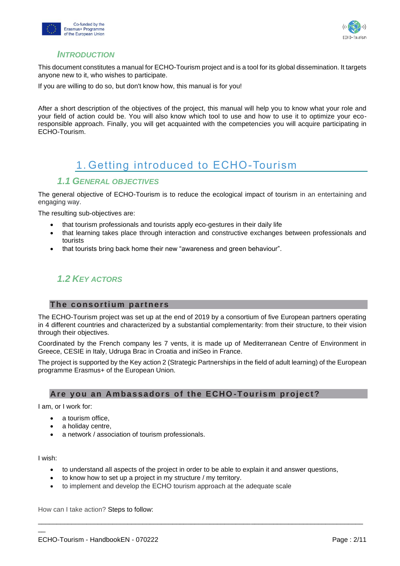



# *INTRODUCTION*

<span id="page-2-0"></span>This document constitutes a manual for ECHO-Tourism project and is a tool for its global dissemination. It targets anyone new to it, who wishes to participate.

If you are willing to do so, but don't know how, this manual is for you!

After a short description of the objectives of the project, this manual will help you to know what your role and your field of action could be. You will also know which tool to use and how to use it to optimize your ecoresponsible approach. Finally, you will get acquainted with the competencies you will acquire participating in ECHO-Tourism.

# 1. Getting introduced to ECHO-Tourism

# <span id="page-2-1"></span>*1.1 GENERAL OBJECTIVES*

<span id="page-2-2"></span>The general objective of ECHO-Tourism is to reduce the ecological impact of tourism in an entertaining and engaging way.

The resulting sub-objectives are:

- that tourism professionals and tourists apply eco-gestures in their daily life
- that learning takes place through interaction and constructive exchanges between professionals and tourists
- that tourists bring back home their new "awareness and green behaviour".

# <span id="page-2-3"></span>*1.2 KEY ACTORS*

# <span id="page-2-4"></span>**The consortium partners**

The ECHO-Tourism project was set up at the end of 2019 by a consortium of five European partners operating in 4 different countries and characterized by a substantial complementarity: from their structure, to their vision through their objectives.

Coordinated by the French company les 7 vents, it is made up of Mediterranean Centre of Environment in Greece, CESIE in Italy, Udruga Brac in Croatia and iniSeo in France.

The project is supported by the Key action 2 (Strategic Partnerships in the field of adult learning) of the European programme Erasmus+ of the European Union.

# <span id="page-2-5"></span>**Are you an Am ba ssadors of the E CHO -Tour ism pr oject?**

I am, or I work for:

- a tourism office,
- a holiday centre,
- a network / association of tourism professionals.

I wish:

 $\overline{\phantom{a}}$ 

• to understand all aspects of the project in order to be able to explain it and answer questions,

\_\_\_\_\_\_\_\_\_\_\_\_\_\_\_\_\_\_\_\_\_\_\_\_\_\_\_\_\_\_\_\_\_\_\_\_\_\_\_\_\_\_\_\_\_\_\_\_\_\_\_\_\_\_\_\_\_\_\_\_\_\_\_\_\_\_\_\_\_\_\_\_\_\_\_\_\_\_\_\_\_\_\_\_\_\_\_

- to know how to set up a project in my structure / my territory.
- to implement and develop the ECHO tourism approach at the adequate scale

How can I take action? Steps to follow: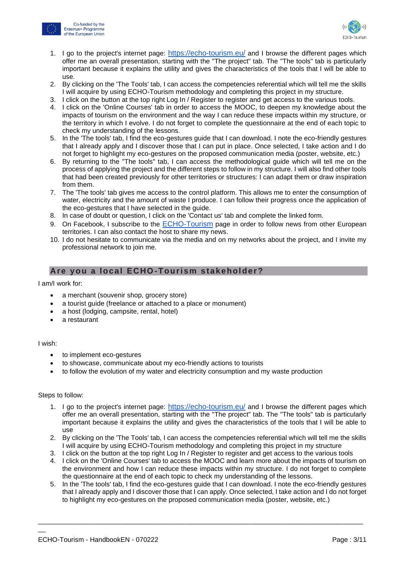



- 1. I go to the project's internet page: <https://echo-tourism.eu/> and I browse the different pages which offer me an overall presentation, starting with the "The project" tab. The "The tools" tab is particularly important because it explains the utility and gives the characteristics of the tools that I will be able to use.
- 2. By clicking on the 'The Tools' tab, I can access the competencies referential which will tell me the skills I will acquire by using ECHO-Tourism methodology and completing this project in my structure.
- 3. I click on the button at the top right Log In / Register to register and get access to the various tools.
- 4. I click on the 'Online Courses' tab in order to access the MOOC, to deepen my knowledge about the impacts of tourism on the environment and the way I can reduce these impacts within my structure, or the territory in which I evolve. I do not forget to complete the questionnaire at the end of each topic to check my understanding of the lessons.
- 5. In the 'The tools' tab, I find the eco-gestures guide that I can download. I note the eco-friendly gestures that I already apply and I discover those that I can put in place. Once selected, I take action and I do not forget to highlight my eco-gestures on the proposed communication media (poster, website, etc.)
- 6. By returning to the "The tools" tab, I can access the methodological guide which will tell me on the process of applying the project and the different steps to follow in my structure. I will also find other tools that had been created previously for other territories or structures: I can adapt them or draw inspiration from them.
- 7. The 'The tools' tab gives me access to the control platform. This allows me to enter the consumption of water, electricity and the amount of waste I produce. I can follow their progress once the application of the eco-gestures that I have selected in the guide.
- 8. In case of doubt or question, I click on the 'Contact us' tab and complete the linked form.
- 9. On Facebook, I subscribe to the **[ECHO-Tourism](https://www.facebook.com/echotourism.eu)** page in order to follow news from other European territories. I can also contact the host to share my news.
- 10. I do not hesitate to communicate via the media and on my networks about the project, and I invite my professional network to join me.

# <span id="page-3-0"></span>**Are you a local ECHO -Tour ism s takehol der ?**

I am/I work for:

- a merchant (souvenir shop, grocery store)
- a tourist guide (freelance or attached to a place or monument)
- a host (lodging, campsite, rental, hotel)
- a restaurant

#### I wish:

 $\overline{\phantom{a}}$ 

- to implement eco-gestures
- to showcase, communicate about my eco-friendly actions to tourists
- to follow the evolution of my water and electricity consumption and my waste production

#### Steps to follow:

- 1. I go to the project's internet page: <https://echo-tourism.eu/> and I browse the different pages which offer me an overall presentation, starting with the "The project" tab. The "The tools" tab is particularly important because it explains the utility and gives the characteristics of the tools that I will be able to use
- 2. By clicking on the 'The Tools' tab, I can access the competencies referential which will tell me the skills I will acquire by using ECHO-Tourism methodology and completing this project in my structure
- 3. I click on the button at the top right Log In / Register to register and get access to the various tools
- 4. I click on the 'Online Courses' tab to access the MOOC and learn more about the impacts of tourism on the environment and how I can reduce these impacts within my structure. I do not forget to complete the questionnaire at the end of each topic to check my understanding of the lessons.
- 5. In the 'The tools' tab, I find the eco-gestures guide that I can download. I note the eco-friendly gestures that I already apply and I discover those that I can apply. Once selected, I take action and I do not forget to highlight my eco-gestures on the proposed communication media (poster, website, etc.)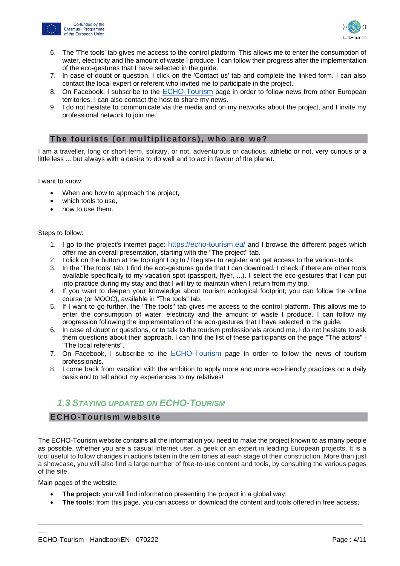



- 6. The 'The tools' tab gives me access to the control platform. This allows me to enter the consumption of water, electricity and the amount of waste I produce. I can follow their progress after the implementation of the eco-gestures that I have selected in the guide.
- 7. In case of doubt or question, I click on the 'Contact us' tab and complete the linked form. I can also contact the local expert or referent who invited me to participate in the project.
- 8. On Facebook, I subscribe to the [ECHO-Tourism](https://www.facebook.com/echotourism.eu) page in order to follow news from other European territories. I can also contact the host to share my news.
- 9. I do not hesitate to communicate via the media and on my networks about the project, and I invite my professional network to join me.

# <span id="page-4-0"></span>The tourists (or multiplicators), who are we?

I am a traveller, long or short-term, solitary, or not, adventurous or cautious, athletic or not, very curious or a little less ... but always with a desire to do well and to act in favour of the planet.

I want to know:

- When and how to approach the project,
- which tools to use,
- how to use them.

#### Steps to follow:

- 1. I go to the project's internet page: <https://echo-tourism.eu/> and I browse the different pages which offer me an overall presentation, starting with the "The project" tab.
- 2. I click on the button at the top right Log In / Register to register and get access to the various tools
- 3. In the 'The tools' tab, I find the eco-gestures guide that I can download. I check if there are other tools available specifically to my vacation spot (passport, flyer, ...). I select the eco-gestures that I can put into practice during my stay and that I will try to maintain when I return from my trip.
- 4. If you want to deepen your knowledge about tourism ecological footprint, you can follow the online course (or MOOC), available in "The tools" tab.
- 5. If I want to go further, the "The tools" tab gives me access to the control platform. This allows me to enter the consumption of water, electricity and the amount of waste I produce. I can follow my progression following the implementation of the eco-gestures that I have selected in the guide.
- 6. In case of doubt or questions, or to talk to the tourism professionals around me, I do not hesitate to ask them questions about their approach. I can find the list of these participants on the page "The actors" - "The local referents".
- 7. On Facebook, I subscribe to the [ECHO-Tourism](https://www.facebook.com/echotourism.eu) page in order to follow the news of tourism professionals.
- 8. I come back from vacation with the ambition to apply more and more eco-friendly practices on a daily basis and to tell about my experiences to my relatives!

# <span id="page-4-1"></span>*1.3 STAYING UPDATED ON ECHO-TOURISM*

# <span id="page-4-2"></span>**ECHO-Tour ism w ebsite**

The ECHO-Tourism website contains all the information you need to make the project known to as many people as possible, whether you are a casual Internet user, a geek or an expert in leading European projects. It is a tool useful to follow changes in actions taken in the territories at each stage of their construction. More than just a showcase, you will also find a large number of free-to-use content and tools, by consulting the various pages of the site.

Main pages of the website:

 $\overline{\phantom{a}}$ 

- **The project:** you will find information presenting the project in a global way;
- **The tools:** from this page, you can access or download the content and tools offered in free access;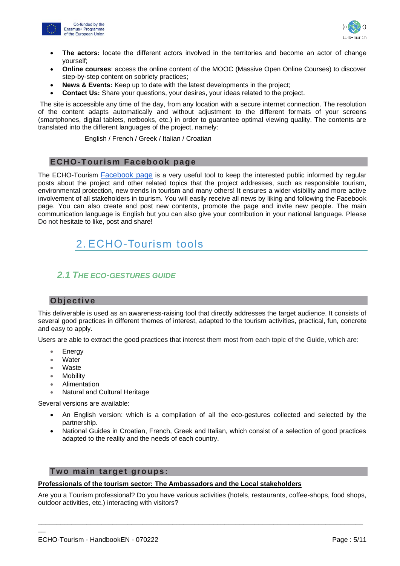



- **The actors:** locate the different actors involved in the territories and become an actor of change yourself;
- **Online courses**: access the online content of the MOOC (Massive Open Online Courses) to discover step-by-step content on sobriety practices;
- **News & Events:** Keep up to date with the latest developments in the project;
- **Contact Us:** Share your questions, your desires, your ideas related to the project.

The site is accessible any time of the day, from any location with a secure internet connection. The resolution of the content adapts automatically and without adjustment to the different formats of your screens (smartphones, digital tablets, netbooks, etc.) in order to guarantee optimal viewing quality. The contents are translated into the different languages of the project, namely:

English / French / Greek / Italian / Croatian

# <span id="page-5-0"></span>**ECHO-Tour ism Facebook page**

The ECHO-Tourism [Facebook page](https://www.facebook.com/echotourism.eu) is a very useful tool to keep the interested public informed by regular posts about the project and other related topics that the project addresses, such as responsible tourism, environmental protection, new trends in tourism and many others! It ensures a wider visibility and more active involvement of all stakeholders in tourism. You will easily receive all news by liking and following the Facebook page. You can also create and post new contents, promote the page and invite new people. The main communication language is English but you can also give your contribution in your national language. Please Do not hesitate to like, post and share!

# <span id="page-5-1"></span>2. ECHO-Tourism tools

# <span id="page-5-2"></span>*2.1 THE ECO-GESTURES GUIDE*

# <span id="page-5-3"></span>**Objective**

This deliverable is used as an awareness-raising tool that directly addresses the target audience. It consists of several good practices in different themes of interest, adapted to the tourism activities, practical, fun, concrete and easy to apply.

Users are able to extract the good practices that interest them most from each topic of the Guide, which are:

- Energy
- Water
- **Waste**

 $\overline{\phantom{a}}$ 

- Mobility
- Alimentation
- Natural and Cultural Heritage

Several versions are available:

- An English version: which is a compilation of all the eco-gestures collected and selected by the partnership.
- National Guides in Croatian, French, Greek and Italian, which consist of a selection of good practices adapted to the reality and the needs of each country.

### <span id="page-5-4"></span>**Two main target groups:**

#### **Professionals of the tourism sector: The Ambassadors and the Local stakeholders**

Are you a Tourism professional? Do you have various activities (hotels, restaurants, coffee-shops, food shops, outdoor activities, etc.) interacting with visitors?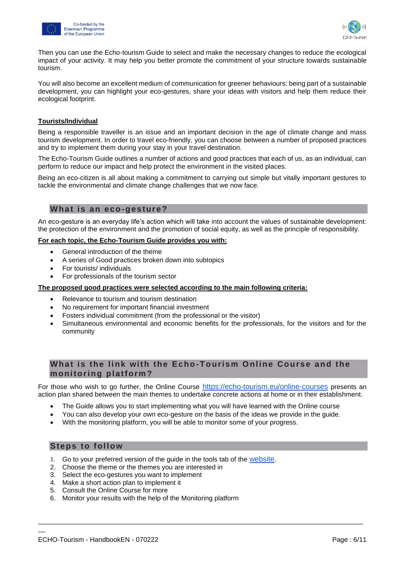



Then you can use the Echo-tourism Guide to select and make the necessary changes to reduce the ecological impact of your activity. It may help you better promote the commitment of your structure towards sustainable tourism.

You will also become an excellent medium of communication for greener behaviours: being part of a sustainable development, you can highlight your eco-gestures, share your ideas with visitors and help them reduce their ecological footprint.

#### **Tourists/Individual**

Being a responsible traveller is an issue and an important decision in the age of climate change and mass tourism development. In order to travel eco-friendly, you can choose between a number of proposed practices and try to implement them during your stay in your travel destination.

The Echo-Tourism Guide outlines a number of actions and good practices that each of us, as an individual, can perform to reduce our impact and help protect the environment in the visited places.

Being an eco-citizen is all about making a commitment to carrying out simple but vitally important gestures to tackle the environmental and climate change challenges that we now face.

### <span id="page-6-0"></span>What is an eco-gesture?

An eco-gesture is an everyday life's action which will take into account the values of sustainable development: the protection of the environment and the promotion of social equity, as well as the principle of responsibility.

#### **For each topic, the Echo-Tourism Guide provides you with:**

- General introduction of the theme
- A series of Good practices broken down into subtopics
- For tourists/ individuals
- For professionals of the tourism sector

#### **The proposed good practices were selected according to the main following criteria:**

- Relevance to tourism and tourism destination
- No requirement for important financial investment
- Fosters individual commitment (from the professional or the visitor)
- Simultaneous environmental and economic benefits for the professionals, for the visitors and for the community

# <span id="page-6-1"></span>**What is the link with the Echo-Tourism Online Course and the moni toring pla tform?**

For those who wish to go further, the Online Course <https://echo-tourism.eu/online-courses> presents an action plan shared between the main themes to undertake concrete actions at home or in their establishment.

- The Guide allows you to start implementing what you will have learned with the Online course
- You can also develop your own eco-gesture on the basis of the ideas we provide in the guide.

\_\_\_\_\_\_\_\_\_\_\_\_\_\_\_\_\_\_\_\_\_\_\_\_\_\_\_\_\_\_\_\_\_\_\_\_\_\_\_\_\_\_\_\_\_\_\_\_\_\_\_\_\_\_\_\_\_\_\_\_\_\_\_\_\_\_\_\_\_\_\_\_\_\_\_\_\_\_\_\_\_\_\_\_\_\_\_

With the monitoring platform, you will be able to monitor some of your progress.

#### <span id="page-6-2"></span>**Steps to follow**

- 1. Go to your preferred version of the guide in the tools tab of the [website](https://echo-tourism.eu/outputs).
- 2. Choose the theme or the themes you are interested in
- 3. Select the eco-gestures you want to implement
- 4. Make a short action plan to implement it
- 5. Consult the Online Course for more
- 6. Monitor your results with the help of the Monitoring platform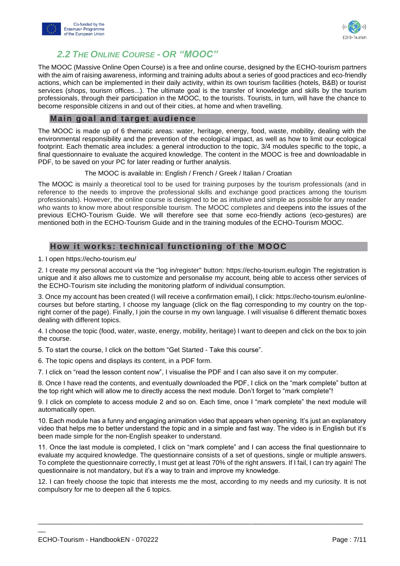



# *2.2 THE ONLINE COURSE - OR "MOOC"*

<span id="page-7-0"></span>The MOOC (Massive Online Open Course) is a free and online course, designed by the ECHO-tourism partners with the aim of raising awareness, informing and training adults about a series of good practices and eco-friendly actions, which can be implemented in their daily activity, within its own tourism facilities (hotels, B&B) or tourist services (shops, tourism offices...). The ultimate goal is the transfer of knowledge and skills by the tourism professionals, through their participation in the MOOC, to the tourists. Tourists, in turn, will have the chance to become responsible citizens in and out of their cities, at home and when travelling.

### <span id="page-7-1"></span>**Main goal and target audience**

The MOOC is made up of 6 thematic areas: water, heritage, energy, food, waste, mobility, dealing with the environmental responsibility and the prevention of the ecological impact, as well as how to limit our ecological footprint. Each thematic area includes: a general introduction to the topic, 3/4 modules specific to the topic, a final questionnaire to evaluate the acquired knowledge. The content in the MOOC is free and downloadable in PDF, to be saved on your PC for later reading or further analysis.

The MOOC is available in: English / French / Greek / Italian / Croatian

The MOOC is mainly a theoretical tool to be used for training purposes by the tourism professionals (and in reference to the needs to improve the professional skills and exchange good practices among the tourism professionals). However, the online course is designed to be as intuitive and simple as possible for any reader who wants to know more about responsible tourism. The MOOC completes and deepens into the issues of the previous ECHO-Tourism Guide. We will therefore see that some eco-friendly actions (eco-gestures) are mentioned both in the ECHO-Tourism Guide and in the training modules of the ECHO-Tourism MOOC.

# <span id="page-7-2"></span>**How it works: technical functioning of the MOOC**

1. I open <https://echo-tourism.eu/>

2. I create my personal account via the "log in/register" button:<https://echo-tourism.eu/login> The registration is unique and it also allows me to customize and personalise my account, being able to access other services of the ECHO-Tourism site including the monitoring platform of individual consumption.

3. Once my account has been created (I will receive a confirmation email), I click: [https://echo-tourism.eu/online](https://echo-tourism.eu/online-courses)[courses](https://echo-tourism.eu/online-courses) but before starting, I choose my language (click on the flag corresponding to my country on the topright corner of the page). Finally, I join the course in my own language. I will visualise 6 different thematic boxes dealing with different topics.

4. I choose the topic (food, water, waste, energy, mobility, heritage) I want to deepen and click on the box to join the course.

5. To start the course, I click on the bottom "Get Started - Take this course".

6. The topic opens and displays its content, in a PDF form.

7. I click on "read the lesson content now", I visualise the PDF and I can also save it on my computer.

8. Once I have read the contents, and eventually downloaded the PDF, I click on the "mark complete" button at the top right which will allow me to directly access the next module. Don't forget to "mark complete"!

9. I click on complete to access module 2 and so on. Each time, once I "mark complete" the next module will automatically open.

10. Each module has a funny and engaging animation video that appears when opening. It's just an explanatory video that helps me to better understand the topic and in a simple and fast way. The video is in English but it's been made simple for the non-English speaker to understand.

11. Once the last module is completed, I click on "mark complete" and I can access the final questionnaire to evaluate my acquired knowledge. The questionnaire consists of a set of questions, single or multiple answers. To complete the questionnaire correctly, I must get at least 70% of the right answers. If I fail, I can try again! The questionnaire is not mandatory, but it's a way to train and improve my knowledge.

12. I can freely choose the topic that interests me the most, according to my needs and my curiosity. It is not compulsory for me to deepen all the 6 topics.

\_\_\_\_\_\_\_\_\_\_\_\_\_\_\_\_\_\_\_\_\_\_\_\_\_\_\_\_\_\_\_\_\_\_\_\_\_\_\_\_\_\_\_\_\_\_\_\_\_\_\_\_\_\_\_\_\_\_\_\_\_\_\_\_\_\_\_\_\_\_\_\_\_\_\_\_\_\_\_\_\_\_\_\_\_\_\_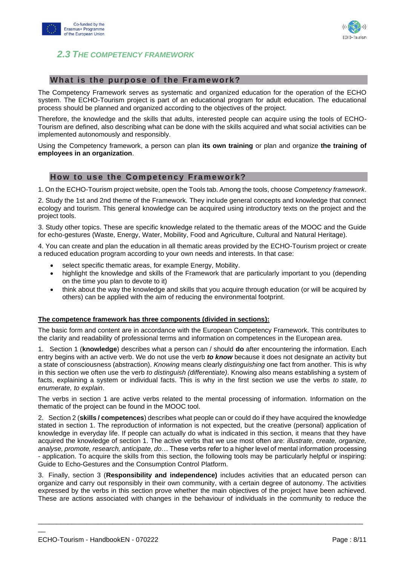

<span id="page-8-0"></span>

# <span id="page-8-1"></span>**What is the purpose of the Framework?**

The Competency Framework serves as systematic and organized education for the operation of the ECHO system. The ECHO-Tourism project is part of an educational program for adult education. The educational process should be planned and organized according to the objectives of the project.

Therefore, the knowledge and the skills that adults, interested people can acquire using the tools of ECHO-Tourism are defined, also describing what can be done with the skills acquired and what social activities can be implemented autonomously and responsibly.

Using the Competency framework, a person can plan **its own training** or plan and organize **the training of employees in an organization**.

#### <span id="page-8-2"></span>**How to use the Competency Framework?**

1. On the ECHO-Tourism project website, open the Tools tab. Among the tools, choose *Competency framework*.

2. Study the 1st and 2nd theme of the Framework. They include general concepts and knowledge that connect ecology and tourism. This general knowledge can be acquired using introductory texts on the project and the project tools.

3. Study other topics. These are specific knowledge related to the thematic areas of the MOOC and the Guide for echo-gestures (Waste, Energy, Water, Mobility, Food and Agriculture, Cultural and Natural Heritage).

4. You can create and plan the education in all thematic areas provided by the ECHO-Tourism project or create a reduced education program according to your own needs and interests. In that case:

- select specific thematic areas, for example Energy, Mobility.
- highlight the knowledge and skills of the Framework that are particularly important to you (depending on the time you plan to devote to it)
- think about the way the knowledge and skills that you acquire through education (or will be acquired by others) can be applied with the aim of reducing the environmental footprint.

#### **The competence framework has three components (divided in sections):**

The basic form and content are in accordance with the European Competency Framework. This contributes to the clarity and readability of professional terms and information on competences in the European area.

1. Section 1 (**knowledge**) describes what a person can / should **do** after encountering the information. Each entry begins with an active verb. We do not use the verb *to know* because it does not designate an activity but a state of consciousness (abstraction). *Knowing* means clearly *distinguishing* one fact from another. This is why in this section we often use the verb *to distinguish (differentiate)*. Knowing also means establishing a system of facts, explaining a system or individual facts. This is why in the first section we use the verbs *to state, to enumerate, to explain*.

The verbs in section 1 are active verbs related to the mental processing of information. Information on the thematic of the project can be found in the MOOC tool.

2. Section 2 (**skills / competences**) describes what people can or could do if they have acquired the knowledge stated in section 1. The reproduction of information is not expected, but the creative (personal) application of knowledge in everyday life. If people can actually do what is indicated in this section, it means that they have acquired the knowledge of section 1. The active verbs that we use most often are: *illustrate, create, organize, analyse, promote, research, anticipate, do*… These verbs refer to a higher level of mental information processing - application. To acquire the skills from this section, the following tools may be particularly helpful or inspiring: Guide to Echo-Gestures and the Consumption Control Platform.

3. Finally, section 3 (**Responsibility and independence)** includes activities that an educated person can organize and carry out responsibly in their own community, with a certain degree of autonomy. The activities expressed by the verbs in this section prove whether the main objectives of the project have been achieved. These are actions associated with changes in the behaviour of individuals in the community to reduce the

\_\_\_\_\_\_\_\_\_\_\_\_\_\_\_\_\_\_\_\_\_\_\_\_\_\_\_\_\_\_\_\_\_\_\_\_\_\_\_\_\_\_\_\_\_\_\_\_\_\_\_\_\_\_\_\_\_\_\_\_\_\_\_\_\_\_\_\_\_\_\_\_\_\_\_\_\_\_\_\_\_\_\_\_\_\_\_

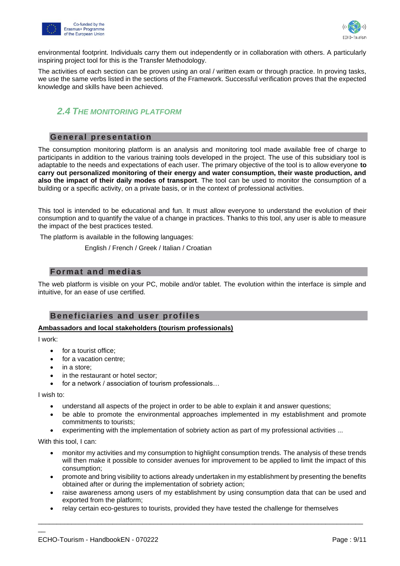



environmental footprint. Individuals carry them out independently or in collaboration with others. A particularly inspiring project tool for this is the Transfer Methodology.

The activities of each section can be proven using an oral / written exam or through practice. In proving tasks, we use the same verbs listed in the sections of the Framework. Successful verification proves that the expected knowledge and skills have been achieved.

# <span id="page-9-0"></span>*2.4 THE MONITORING PLATFORM*

### <span id="page-9-1"></span>**General presentation**

The consumption monitoring platform is an analysis and monitoring tool made available free of charge to participants in addition to the various training tools developed in the project. The use of this subsidiary tool is adaptable to the needs and expectations of each user. The primary objective of the tool is to allow everyone **to carry out personalized monitoring of their energy and water consumption, their waste production, and also the impact of their daily modes of transport**. The tool can be used to monitor the consumption of a building or a specific activity, on a private basis, or in the context of professional activities.

This tool is intended to be educational and fun. It must allow everyone to understand the evolution of their consumption and to quantify the value of a change in practices. Thanks to this tool, any user is able to measure the impact of the best practices tested.

The platform is available in the following languages:

English / French / Greek / Italian / Croatian

#### <span id="page-9-2"></span>**Format and medias**

The web platform is visible on your PC, mobile and/or tablet. The evolution within the interface is simple and intuitive, for an ease of use certified.

# <span id="page-9-3"></span>**Bene ficiaries and user profiles**

#### **Ambassadors and local stakeholders (tourism professionals)**

I work:

- for a tourist office;
- for a vacation centre;
- in a store;
- in the restaurant or hotel sector;
- for a network / association of tourism professionals...

I wish to:

 $\overline{\phantom{a}}$ 

- understand all aspects of the project in order to be able to explain it and answer questions;
- be able to promote the environmental approaches implemented in my establishment and promote commitments to tourists;
- experimenting with the implementation of sobriety action as part of my professional activities ...

With this tool, I can:

- monitor my activities and my consumption to highlight consumption trends. The analysis of these trends will then make it possible to consider avenues for improvement to be applied to limit the impact of this consumption;
- promote and bring visibility to actions already undertaken in my establishment by presenting the benefits obtained after or during the implementation of sobriety action;
- raise awareness among users of my establishment by using consumption data that can be used and exported from the platform;
- relay certain eco-gestures to tourists, provided they have tested the challenge for themselves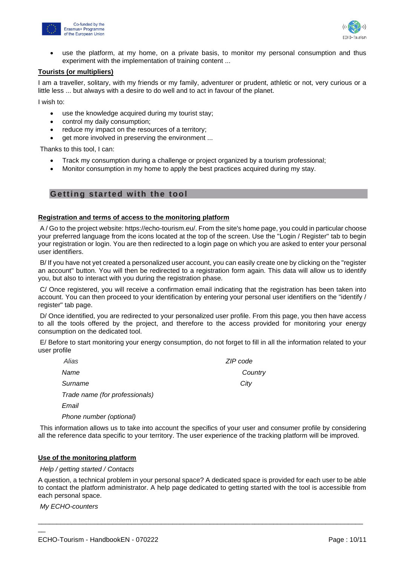



use the platform, at my home, on a private basis, to monitor my personal consumption and thus experiment with the implementation of training content ...

#### **Tourists (or multipliers)**

I am a traveller, solitary, with my friends or my family, adventurer or prudent, athletic or not, very curious or a little less ... but always with a desire to do well and to act in favour of the planet.

I wish to:

- use the knowledge acquired during my tourist stay;
- control my daily consumption;
- reduce my impact on the resources of a territory;
- get more involved in preserving the environment ...

Thanks to this tool, I can:

- Track my consumption during a challenge or project organized by a tourism professional;
- Monitor consumption in my home to apply the best practices acquired during my stay.

# <span id="page-10-0"></span>**Getting started with the tool**

#### **Registration and terms of access to the monitoring platform**

A / Go to the project website: https://echo-tourism.eu/. From the site's home page, you could in particular choose your preferred language from the icons located at the top of the screen. Use the "Login / Register" tab to begin your registration or login. You are then redirected to a login page on which you are asked to enter your personal user identifiers.

B/ If you have not yet created a personalized user account, you can easily create one by clicking on the "register an account" button. You will then be redirected to a registration form again. This data will allow us to identify you, but also to interact with you during the registration phase.

C/ Once registered, you will receive a confirmation email indicating that the registration has been taken into account. You can then proceed to your identification by entering your personal user identifiers on the "identify / register" tab page.

D/ Once identified, you are redirected to your personalized user profile. From this page, you then have access to all the tools offered by the project, and therefore to the access provided for monitoring your energy consumption on the dedicated tool.

E/ Before to start monitoring your energy consumption, do not forget to fill in all the information related to your user profile

| Alias                          | ZIP code |
|--------------------------------|----------|
| Name                           | Country  |
| Surname                        | City     |
| Trade name (for professionals) |          |
| Email                          |          |
| Phone number (optional)        |          |

This information allows us to take into account the specifics of your user and consumer profile by considering all the reference data specific to your territory. The user experience of the tracking platform will be improved.

#### **Use of the monitoring platform**

*Help / getting started / Contacts*

A question, a technical problem in your personal space? A dedicated space is provided for each user to be able to contact the platform administrator. A help page dedicated to getting started with the tool is accessible from each personal space.

\_\_\_\_\_\_\_\_\_\_\_\_\_\_\_\_\_\_\_\_\_\_\_\_\_\_\_\_\_\_\_\_\_\_\_\_\_\_\_\_\_\_\_\_\_\_\_\_\_\_\_\_\_\_\_\_\_\_\_\_\_\_\_\_\_\_\_\_\_\_\_\_\_\_\_\_\_\_\_\_\_\_\_\_\_\_\_

*My ECHO-counters*